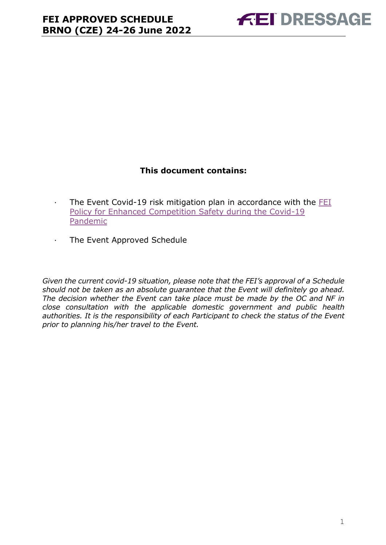### **This document contains:**

- <span id="page-0-0"></span>· The Event Covid-19 risk mitigation plan in accordance with the [FEI](https://inside.fei.org/fei/covid-19/return-to-play)  [Policy for Enhanced Competition Safety during the Covid-19](https://inside.fei.org/fei/covid-19/return-to-play)  [Pandemic](https://inside.fei.org/fei/covid-19/return-to-play)
- · The Event Approved Schedule

*Given the current covid-19 situation, please note that the FEI's approval of a Schedule should not be taken as an absolute guarantee that the Event will definitely go ahead. The decision whether the Event can take place must be made by the OC and NF in close consultation with the applicable domestic government and public health authorities. It is the responsibility of each Participant to check the status of the Event prior to planning his/her travel to the Event.*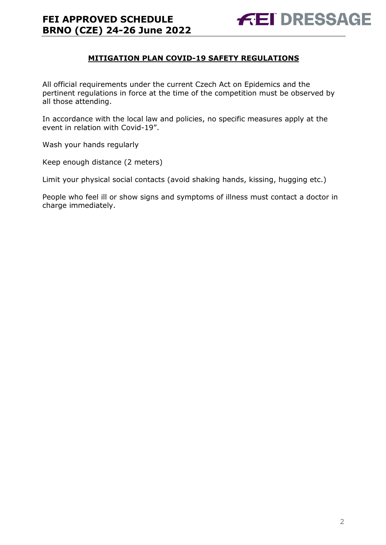#### **MITIGATION PLAN COVID-19 SAFETY REGULATIONS**

All official requirements under the current Czech Act on Epidemics and the pertinent regulations in force at the time of the competition must be observed by all those attending.

In accordance with the local law and policies, no specific measures apply at the event in relation with Covid-19".

Wash your hands regularly

Keep enough distance (2 meters)

Limit your physical social contacts (avoid shaking hands, kissing, hugging etc.)

People who feel ill or show signs and symptoms of illness must contact a doctor in charge immediately.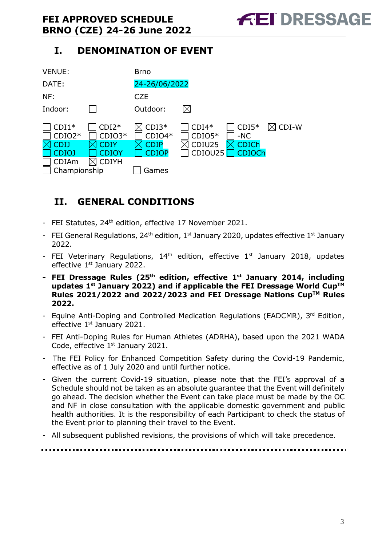## **I. DENOMINATION OF EVENT**



## <span id="page-2-0"></span>**II. GENERAL CONDITIONS**

- FEI Statutes, 24<sup>th</sup> edition, effective 17 November 2021.
- FEI General Regulations, 24<sup>th</sup> edition, 1<sup>st</sup> January 2020, updates effective 1<sup>st</sup> January 2022.
- FEI Veterinary Regulations,  $14<sup>th</sup>$  edition, effective  $1<sup>st</sup>$  January 2018, updates effective 1<sup>st</sup> January 2022.
- **- FEI Dressage Rules (25 th edition, effective 1st January 2014, including updates 1 st January 2022) and if applicable the FEI Dressage World CupTM Rules 2021/2022 and 2022/2023 and FEI Dressage Nations CupTM Rules 2022.**
- Equine Anti-Doping and Controlled Medication Regulations (EADCMR), 3rd Edition, effective 1<sup>st</sup> January 2021.
- FEI Anti-Doping Rules for Human Athletes (ADRHA), based upon the 2021 WADA Code, effective 1<sup>st</sup> January 2021.
- The FEI Policy for Enhanced Competition Safety during the Covid-19 Pandemic, effective as of 1 July 2020 and until further notice.
- Given the current Covid-19 situation, please note that the FEI's approval of a Schedule should not be taken as an absolute guarantee that the Event will definitely go ahead. The decision whether the Event can take place must be made by the OC and NF in close consultation with the applicable domestic government and public health authorities. It is the responsibility of each Participant to check the status of the Event prior to planning their travel to the Event.
- All subsequent published revisions, the provisions of which will take precedence.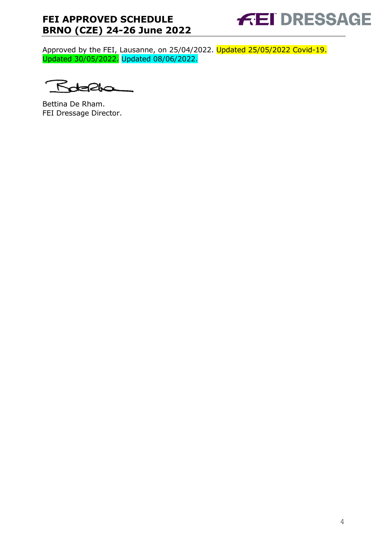

Approved by the FEI, Lausanne, on 25/04/2022. Updated 25/05/2022 Covid-19. Updated 30/05/2022. Updated 08/06/2022.

 $\bar{\kappa}$ 20

Bettina De Rham. FEI Dressage Director.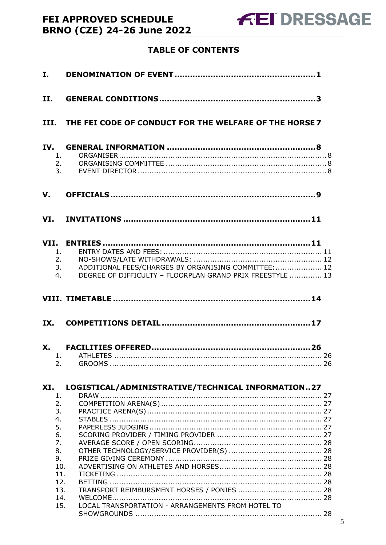## **TABLE OF CONTENTS**

| I.                   |                                                                                                                   |
|----------------------|-------------------------------------------------------------------------------------------------------------------|
| <b>II.</b>           |                                                                                                                   |
|                      | III. THE FEI CODE OF CONDUCT FOR THE WELFARE OF THE HORSE 7                                                       |
| 1.<br>2.             | 3.                                                                                                                |
|                      |                                                                                                                   |
|                      |                                                                                                                   |
| 1.<br>2.<br>3.<br>4. | ADDITIONAL FEES/CHARGES BY ORGANISING COMMITTEE:  12<br>DEGREE OF DIFFICULTY - FLOORPLAN GRAND PRIX FREESTYLE  13 |
|                      |                                                                                                                   |
| IX.                  |                                                                                                                   |
| 2.                   |                                                                                                                   |
| XI.                  | LOGISTICAL/ADMINISTRATIVE/TECHNICAL INFORMATION27                                                                 |
| 1.<br>2.<br>3.       |                                                                                                                   |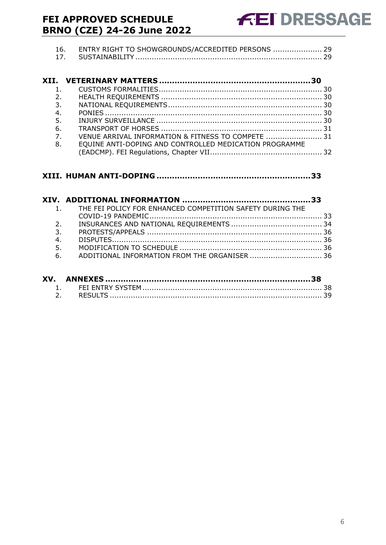| 16. ENTRY RIGHT TO SHOWGROUNDS/ACCREDITED PERSONS  29 |  |
|-------------------------------------------------------|--|
|                                                       |  |

| 2.                                                                     |  |
|------------------------------------------------------------------------|--|
|                                                                        |  |
| 4.                                                                     |  |
|                                                                        |  |
|                                                                        |  |
| $\overline{7}$ .<br>VENUE ARRIVAL INFORMATION & FITNESS TO COMPETE  31 |  |
| EQUINE ANTI-DOPING AND CONTROLLED MEDICATION PROGRAMME                 |  |
|                                                                        |  |
|                                                                        |  |

#### **XIII. HUMAN ANTI-DOPING [............................................................33](#page-32-0)**

|    | 1. THE FEI POLICY FOR ENHANCED COMPETITION SAFETY DURING THE |  |
|----|--------------------------------------------------------------|--|
|    |                                                              |  |
| 2. |                                                              |  |
| 3. |                                                              |  |
| 4. |                                                              |  |
| 5. |                                                              |  |
|    | 6. ADDITIONAL INFORMATION FROM THE ORGANISER  36             |  |
|    |                                                              |  |

| XV. |  |
|-----|--|
|     |  |
|     |  |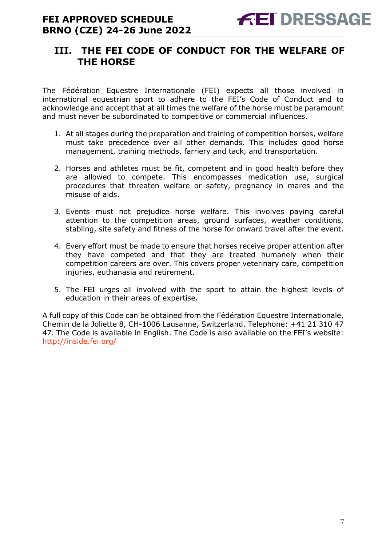## <span id="page-6-0"></span>**III. THE FEI CODE OF CONDUCT FOR THE WELFARE OF THE HORSE**

The Fédération Equestre Internationale (FEI) expects all those involved in international equestrian sport to adhere to the FEI's Code of Conduct and to acknowledge and accept that at all times the welfare of the horse must be paramount and must never be subordinated to competitive or commercial influences.

- 1. At all stages during the preparation and training of competition horses, welfare must take precedence over all other demands. This includes good horse management, training methods, farriery and tack, and transportation.
- 2. Horses and athletes must be fit, competent and in good health before they are allowed to compete. This encompasses medication use, surgical procedures that threaten welfare or safety, pregnancy in mares and the misuse of aids.
- 3. Events must not prejudice horse welfare. This involves paying careful attention to the competition areas, ground surfaces, weather conditions, stabling, site safety and fitness of the horse for onward travel after the event.
- 4. Every effort must be made to ensure that horses receive proper attention after they have competed and that they are treated humanely when their competition careers are over. This covers proper veterinary care, competition injuries, euthanasia and retirement.
- 5. The FEI urges all involved with the sport to attain the highest levels of education in their areas of expertise.

A full copy of this Code can be obtained from the Fédération Equestre Internationale, Chemin de la Joliette 8, CH-1006 Lausanne, Switzerland. Telephone: +41 21 310 47 47. The Code is available in English. The Code is also available on the FEI's website: <http://inside.fei.org/>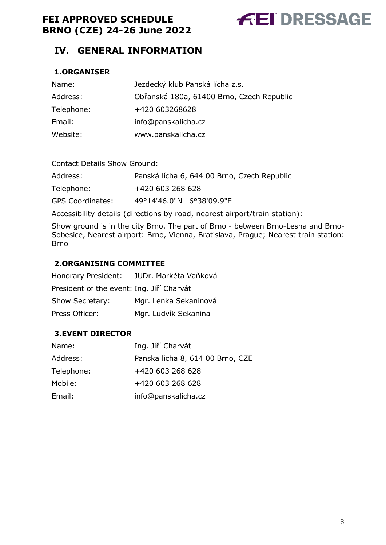## <span id="page-7-0"></span>**IV. GENERAL INFORMATION**

#### <span id="page-7-1"></span>**1.ORGANISER**

| Name:      | Jezdecký klub Panská lícha z.s.           |
|------------|-------------------------------------------|
| Address:   | Obřanská 180a, 61400 Brno, Czech Republic |
| Telephone: | +420 603268628                            |
| Email:     | info@panskalicha.cz                       |
| Website:   | www.panskalicha.cz                        |

| <b>Contact Details Show Ground:</b> |                                             |  |  |  |  |
|-------------------------------------|---------------------------------------------|--|--|--|--|
| Address:                            | Panská lícha 6, 644 00 Brno, Czech Republic |  |  |  |  |
| Telephone:                          | +420 603 268 628                            |  |  |  |  |
| <b>GPS Coordinates:</b>             | 49°14'46.0"N 16°38'09.9"E                   |  |  |  |  |

Accessibility details (directions by road, nearest airport/train station):

Show ground is in the city Brno. The part of Brno - between Brno-Lesna and Brno-Sobesice, Nearest airport: Brno, Vienna, Bratislava, Prague; Nearest train station: Brno

#### <span id="page-7-2"></span>**2.ORGANISING COMMITTEE**

| Honorary President:                       | JUDr. Markéta Vaňková |
|-------------------------------------------|-----------------------|
| President of the event: Ing. Jiří Charvát |                       |
| Show Secretary:                           | Mgr. Lenka Sekaninová |
| Press Officer:                            | Mgr. Ludvík Sekanina  |

#### <span id="page-7-3"></span>**3.EVENT DIRECTOR**

| Ing. Jiří Charvát                |
|----------------------------------|
| Panska licha 8, 614 00 Brno, CZE |
| +420 603 268 628                 |
| +420 603 268 628                 |
| info@panskalicha.cz              |
|                                  |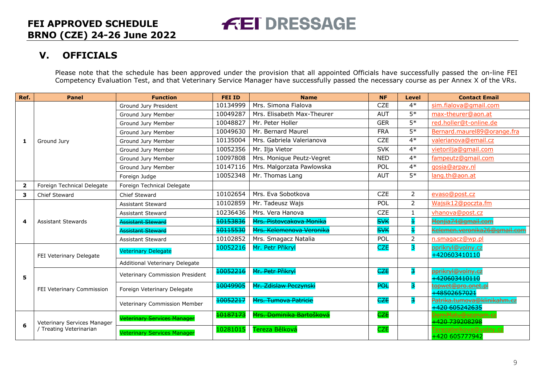## **V. OFFICIALS**

Please note that the schedule has been approved under the provision that all appointed Officials have successfully passed the on-line FEI Competency Evaluation Test, and that Veterinary Service Manager have successfully passed the necessary course as per Annex X of the VRs.

<span id="page-8-0"></span>

| Ref.                    | <b>Panel</b>                                           | <b>Function</b>                    | <b>FEI ID</b> | <b>Name</b>                 | <b>NF</b>  | <b>Level</b>   | <b>Contact Email</b>                          |
|-------------------------|--------------------------------------------------------|------------------------------------|---------------|-----------------------------|------------|----------------|-----------------------------------------------|
|                         |                                                        | Ground Jury President              | 10134999      | Mrs. Simona Fialova         | <b>CZE</b> | $4*$           | sim.fialova@gmail.com                         |
|                         |                                                        | Ground Jury Member                 | 10049287      | Mrs. Elisabeth Max-Theurer  | <b>AUT</b> | $5*$           | max-theurer@aon.at                            |
|                         |                                                        | Ground Jury Member                 | 10048827      | Mr. Peter Holler            | <b>GER</b> | $5*$           | red.holler@t-online.de                        |
|                         |                                                        | Ground Jury Member                 | 10049630      | Mr. Bernard Maurel          | <b>FRA</b> | $5*$           | Bernard.maurel89@orange.fra                   |
| -1                      | Ground Jury                                            | Ground Jury Member                 | 10135004      | Mrs. Gabriela Valerianova   | <b>CZE</b> | $4*$           | valerianova@email.cz                          |
|                         |                                                        | Ground Jury Member                 | 10052356      | Mr. Ilja Vietor             | <b>SVK</b> | $4*$           | vietorilia@gmail.com                          |
|                         |                                                        | Ground Jury Member                 | 10097808      | Mrs. Monique Peutz-Vegret   | <b>NED</b> | $4*$           | fampeutz@gmail.com                            |
|                         |                                                        | Ground Jury Member                 | 10147116      | Mrs. Malgorzata Pawlowska   | POL        | $4*$           | qosia@arpav.nl                                |
|                         |                                                        | Foreign Judge                      | 10052348      | Mr. Thomas Lang             | <b>AUT</b> | $5*$           | lang.th@aon.at                                |
| $\overline{\mathbf{2}}$ | Foreign Technical Delegate                             | Foreign Technical Delegate         |               |                             |            |                |                                               |
| 3                       | <b>Chief Steward</b>                                   | Chief Steward                      | 10102654      | Mrs. Eva Sobotkova          | <b>CZE</b> | $\overline{2}$ | evaso@post.cz                                 |
|                         |                                                        | <b>Assistant Steward</b>           | 10102859      | Mr. Tadeusz Wajs            | POL        | $\overline{2}$ | Wajsik12@poczta.fm                            |
|                         | <b>Assistant Stewards</b>                              | <b>Assistant Steward</b>           | 10236436      | Mrs. Vera Hanova            | <b>CZE</b> | 1              | vhanova@post.cz                               |
| 4                       |                                                        | <b>Assistant Steward</b>           | 10153836      | Mrs. Pistovcakova Monika    | <b>SVK</b> |                | <u>Monjia74@gmail.com</u>                     |
|                         |                                                        | Assistant Steward                  | 10115530      | Mrs. Kelemenova Veronika    | <b>SVK</b> | 4              | Kelemen.veronika26@amail.com                  |
|                         |                                                        | <b>Assistant Steward</b>           | 10102852      | Mrs. Smagacz Natalia        | POL        | $\overline{2}$ | n.smagacz@wp.pl                               |
|                         | FEI Veterinary Delegate                                | <b>Veterinary Delegate</b>         | 10052216      | Mr. Petr Přikryl            | <b>CZE</b> | 3              | pprikryl@volny.cz<br>+420603410110            |
|                         |                                                        | Additional Veterinary Delegate     |               |                             |            |                |                                               |
| 5                       | FEI Veterinary Commission                              | Veterinary Commission President    | 10052216      | Mr. Petr Přikryl            | <b>CZE</b> | 3              | <del>pprikryl@volny.cz</del><br>+420603410110 |
|                         |                                                        | Foreign Veterinary Delegate        | 10049905      | Mr. Zdislaw Peczynski       | <b>POL</b> | 3.             | <del>topwet@pro.onet.pl</del><br>+48502657021 |
|                         |                                                        | Veterinary Commission Member       | 10052217      | <b>Mrs. Tumova Patricie</b> | CZE        | 3              | Patrika.tumova@klinikahm.cz<br>+420 605242635 |
| 6                       | Veterinary Services Manager<br>/ Treating Veterinarian | <b>Veterinary Services Manager</b> | 10187173      | Mrs. Dominika Bartošková    | <b>CZE</b> |                | 420 739208298                                 |
|                         |                                                        | <b>Veterinary Services Manager</b> | 10281015      | Tereza Bělková              | <b>CZE</b> |                | Ferezabelkova@volny.cz<br>+420 605777942      |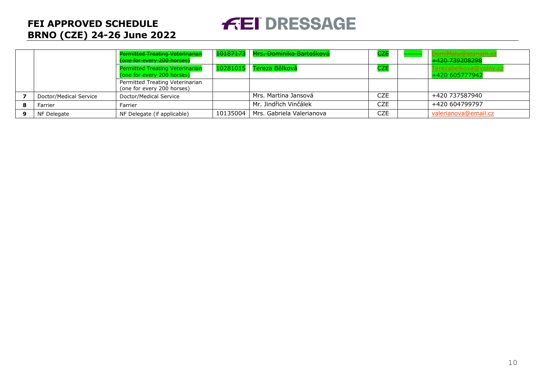# **FEI DRESSAGE**

|   |                        | <b>Permitted Treating Veterinarian</b><br>(one for every 200 horses) |            | 10187173   Mrs. Dominika Bartošková | <b>CZE</b> | DomiMatu@seznam.cz<br>+420 739208298     |
|---|------------------------|----------------------------------------------------------------------|------------|-------------------------------------|------------|------------------------------------------|
|   |                        | <b>Permitted Treating Veterinarian</b><br>(one for every 200 horses) | 10281015   | Tereza Bělková                      | <b>CZE</b> | Terezabelkova@volny.cz<br>+420 605777942 |
|   |                        | Permitted Treating Veterinarian<br>(one for every 200 horses)        |            |                                     |            |                                          |
|   | Doctor/Medical Service | Doctor/Medical Service                                               |            | Mrs. Martina Jansová                | CZE        | +420 737587940                           |
|   | Farrier                | Farrier                                                              |            | Mr. Jindřich Vinčálek               | <b>CZE</b> | +420 604799797                           |
| q | NF Delegate            | NF Delegate (if applicable)                                          | 10135004 l | Mrs. Gabriela Valerianova           | CZE        | valerianova@email.cz                     |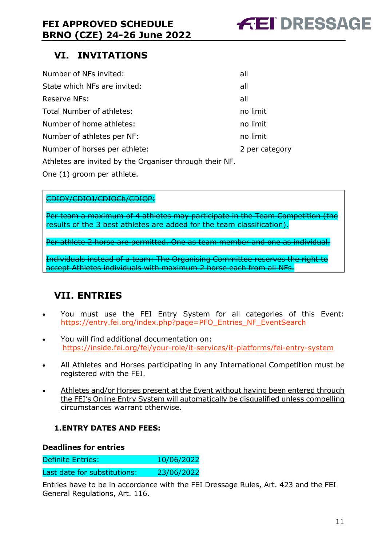

## <span id="page-10-0"></span>**VI. INVITATIONS**

| Number of NFs invited:                                  | all            |
|---------------------------------------------------------|----------------|
| State which NFs are invited:                            | all            |
| Reserve NFs:                                            | all            |
| Total Number of athletes:                               | no limit       |
| Number of home athletes:                                | no limit       |
| Number of athletes per NF:                              | no limit       |
| Number of horses per athlete:                           | 2 per category |
| Athletes are invited by the Organiser through their NF. |                |

One (1) groom per athlete.

#### CDIOY/CDIOJ/CDIOCh/CDIOP:

Per team a maximum of 4 athletes may participate in the Team Competition (the results of the 3 best athletes are added for the team classification).

Per athlete 2 horse are permitted. One as team member and one as individual.

Individuals instead of a team: The Organising Committee reserves the right to accept Athletes individuals with maximum 2 horse each from all NFs.

## <span id="page-10-1"></span>**VII. ENTRIES**

- You must use the FEI Entry System for all categories of this Event: [https://entry.fei.org/index.php?page=PFO\\_Entries\\_NF\\_EventSearch](https://entry.fei.org/index.php?page=PFO_Entries_NF_EventSearch)
- You will find additional documentation on: <https://inside.fei.org/fei/your-role/it-services/it-platforms/fei-entry-system>
- All Athletes and Horses participating in any International Competition must be registered with the FEI.
- Athletes and/or Horses present at the Event without having been entered through the FEI's Online Entry System will automatically be disqualified unless compelling circumstances warrant otherwise.

#### <span id="page-10-2"></span>**1.ENTRY DATES AND FEES:**

#### **Deadlines for entries**

Definite Entries: 10/06/2022

Last date for substitutions: 23/06/2022

Entries have to be in accordance with the FEI Dressage Rules, Art. 423 and the FEI General Regulations, Art. 116.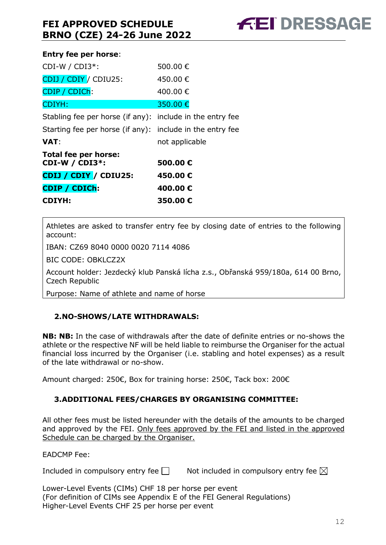#### **Entry fee per horse**:

| <b>CDIYH:</b>                                             | 350.00€        |
|-----------------------------------------------------------|----------------|
| CDIP / CDICh:                                             | 400.00€        |
| CDIJ / CDIY / CDIU25:                                     | 450.00€        |
| Total fee per horse:<br>CDI-W / CDI3 $*$ :                | 500.00€        |
| VAT:                                                      | not applicable |
| Starting fee per horse (if any): include in the entry fee |                |
| Stabling fee per horse (if any): include in the entry fee |                |
| <b>CDIYH:</b>                                             | 350.00 €       |
| CDIP / CDICh:                                             | 400,00 €       |
| CDIJ / CDIY / CDIU25:                                     | 450.00 €       |
| CDI-W / CDI3 $*$ :                                        | 500,00 €       |
|                                                           |                |

Athletes are asked to transfer entry fee by closing date of entries to the following account:

IBAN: CZ69 8040 0000 0020 7114 4086

BIC CODE: OBKLCZ2X

Account holder: Jezdecký klub Panská lícha z.s., Obřanská 959/180a, 614 00 Brno, Czech Republic

Purpose: Name of athlete and name of horse

#### <span id="page-11-0"></span>**2.NO-SHOWS/LATE WITHDRAWALS:**

**NB: NB:** In the case of withdrawals after the date of definite entries or no-shows the athlete or the respective NF will be held liable to reimburse the Organiser for the actual financial loss incurred by the Organiser (i.e. stabling and hotel expenses) as a result of the late withdrawal or no-show.

Amount charged: 250€, Box for training horse: 250€, Tack box: 200€

#### <span id="page-11-1"></span>**3.ADDITIONAL FEES/CHARGES BY ORGANISING COMMITTEE:**

All other fees must be listed hereunder with the details of the amounts to be charged and approved by the FEI. Only fees approved by the FEI and listed in the approved Schedule can be charged by the Organiser.

EADCMP Fee:

Included in compulsory entry fee  $\Box$  Not included in compulsory entry fee  $\boxtimes$ 

Lower-Level Events (CIMs) CHF 18 per horse per event (For definition of CIMs see Appendix E of the FEI General Regulations) Higher-Level Events CHF 25 per horse per event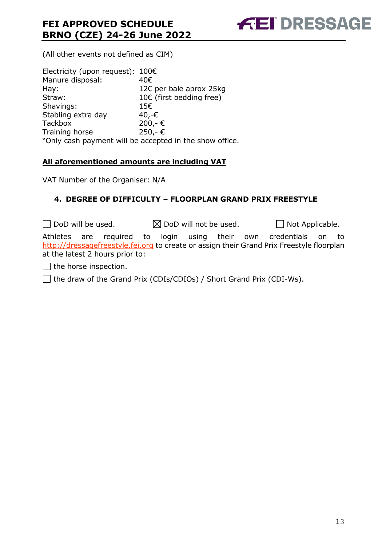**FEI DRESSAGE** 

(All other events not defined as CIM)

| Electricity (upon request): $100 \in$                   |
|---------------------------------------------------------|
| 40€                                                     |
| 12€ per bale aprox 25kg                                 |
| 10€ (first bedding free)                                |
| 15€                                                     |
| 40,-€                                                   |
| $200,-€$                                                |
| 250,-€                                                  |
| "Only cash payment will be accepted in the show office. |
|                                                         |

#### **All aforementioned amounts are including VAT**

VAT Number of the Organiser: N/A

#### <span id="page-12-0"></span>**4. DEGREE OF DIFFICULTY – FLOORPLAN GRAND PRIX FREESTYLE**

 $\Box$  DoD will be used.  $\boxtimes$  DoD will not be used.  $\Box$  Not Applicable. Athletes are required to login using their own credentials on to [http://dressagefreestyle.fei.org](http://dressagefreestyle.fei.org/) to create or assign their Grand Prix Freestyle floorplan at the latest 2 hours prior to:

 $\Box$  the horse inspection.

 $\Box$  the draw of the Grand Prix (CDIs/CDIOs) / Short Grand Prix (CDI-Ws).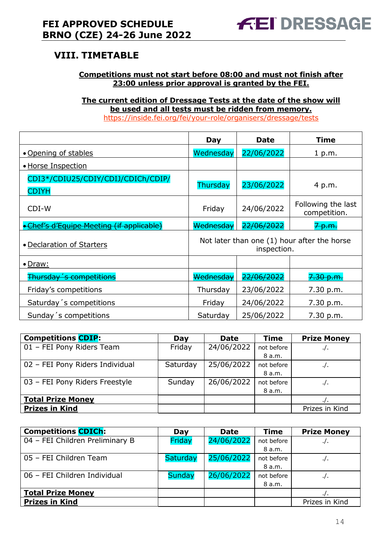## <span id="page-13-0"></span>**VIII. TIMETABLE**

#### **Competitions must not start before 08:00 and must not finish after 23:00 unless prior approval is granted by the FEI.**

**The current edition of Dressage Tests at the date of the show will be used and all tests must be ridden from memory.** <https://inside.fei.org/fei/your-role/organisers/dressage/tests>

|                                                    | Day                                                        | <b>Date</b> | <b>Time</b>                        |  |  |
|----------------------------------------------------|------------------------------------------------------------|-------------|------------------------------------|--|--|
| • Opening of stables                               | Wednesday                                                  | 22/06/2022  | 1 p.m.                             |  |  |
| • Horse Inspection                                 |                                                            |             |                                    |  |  |
| CDI3*/CDIU25/CDIY/CDIJ/CDICh/CDIP/<br><b>CDIYH</b> | Thursday                                                   | 23/06/2022  | 4 p.m.                             |  |  |
| CDI-W                                              | Friday                                                     | 24/06/2022  | Following the last<br>competition. |  |  |
| Chef's d'Equipe Meeting (if applicable)            | Wednesdav                                                  | 22/06/2022  | <del>.n.a</del>                    |  |  |
| • Declaration of Starters                          | Not later than one (1) hour after the horse<br>inspection. |             |                                    |  |  |
| $\bullet$ Draw:                                    |                                                            |             |                                    |  |  |
| Thursday 's competitions                           | Wednesdav                                                  | 22/06/2022  | <del>7.30 p.m.</del>               |  |  |
| Friday's competitions                              | Thursday                                                   | 23/06/2022  | 7.30 p.m.                          |  |  |
| Saturday 's competitions                           | Friday                                                     | 24/06/2022  | 7.30 p.m.                          |  |  |
| Sunday's competitions                              | Saturday                                                   | 25/06/2022  | 7.30 p.m.                          |  |  |

| <b>Competitions CDIP:</b>       | Day      | <b>Date</b> | <b>Time</b> | <b>Prize Money</b> |
|---------------------------------|----------|-------------|-------------|--------------------|
| 01 - FEI Pony Riders Team       | Friday   | 24/06/2022  | not before  | . / .              |
|                                 |          |             | 8 a.m.      |                    |
| 02 - FEI Pony Riders Individual | Saturday | 25/06/2022  | not before  | $. /$ .            |
|                                 |          |             | 8 a.m.      |                    |
| 03 - FEI Pony Riders Freestyle  | Sunday   | 26/06/2022  | not before  | . / .              |
|                                 |          |             | 8 a.m.      |                    |
| <b>Total Prize Money</b>        |          |             |             | $\cdot$ / $\cdot$  |
| <b>Prizes in Kind</b>           |          |             |             | Prizes in Kind     |

| <b>Competitions CDICh:</b>      | Day             | <b>Date</b> | <b>Time</b> | <b>Prize Money</b> |
|---------------------------------|-----------------|-------------|-------------|--------------------|
| 04 - FEI Children Preliminary B | Friday          | 24/06/2022  | not before  | . / .              |
|                                 |                 |             | 8 a.m.      |                    |
| 05 - FEI Children Team          | <b>Saturday</b> | 25/06/2022  | not before  | . / .              |
|                                 |                 |             | 8 a.m.      |                    |
| 06 - FEI Children Individual    | <b>Sunday</b>   | 26/06/2022  | not before  | $\cdot$ .          |
|                                 |                 |             | 8 a.m.      |                    |
| <b>Total Prize Money</b>        |                 |             |             |                    |
| <b>Prizes in Kind</b>           |                 |             |             | Prizes in Kind     |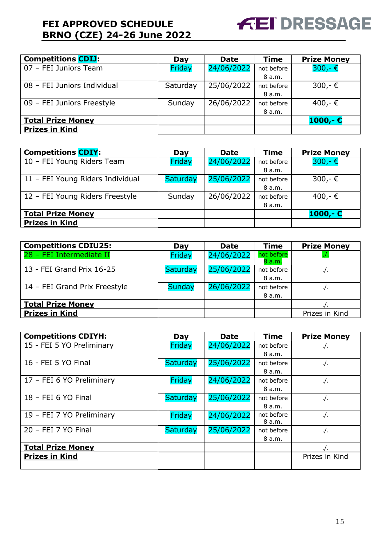

| <b>Competitions CDIJ:</b>   | Day      | <b>Date</b> | <b>Time</b> | <b>Prize Money</b> |
|-----------------------------|----------|-------------|-------------|--------------------|
| 07 - FEI Juniors Team       | Friday   | 24/06/2022  | not before  | $300 - \epsilon$   |
|                             |          |             | 8 a.m.      |                    |
| 08 - FEI Juniors Individual | Saturday | 25/06/2022  | not before  | 300,-€             |
|                             |          |             | 8 a.m.      |                    |
| 09 - FEI Juniors Freestyle  | Sunday   | 26/06/2022  | not before  | 400,-€             |
|                             |          |             | 8 a.m.      |                    |
| <b>Total Prize Money</b>    |          |             |             | $1000 - E$         |
| <b>Prizes in Kind</b>       |          |             |             |                    |

| <b>Competitions CDIY:</b>        | Day             | <b>Date</b> | <b>Time</b> | <b>Prize Money</b> |
|----------------------------------|-----------------|-------------|-------------|--------------------|
| 10 - FEI Young Riders Team       | Friday          | 24/06/2022  | not before  | $300 - \epsilon$   |
|                                  |                 |             | 8 a.m.      |                    |
| 11 - FEI Young Riders Individual | <b>Saturday</b> | 25/06/2022  | not before  | 300,-€             |
|                                  |                 |             | 8 a.m.      |                    |
| 12 - FEI Young Riders Freestyle  | Sunday          | 26/06/2022  | not before  | 400,-€             |
|                                  |                 |             | 8 a.m.      |                    |
| <b>Total Prize Money</b>         |                 |             |             | $1000,- E$         |
| <b>Prizes in Kind</b>            |                 |             |             |                    |

| <b>Competitions CDIU25:</b>   | Day             | <b>Date</b> | <b>Time</b>         | <b>Prize Money</b> |
|-------------------------------|-----------------|-------------|---------------------|--------------------|
| 28 - FEI Intermediate II      | Friday          | 24/06/2022  | not before<br>8a.m. |                    |
| 13 - FEI Grand Prix 16-25     | <b>Saturday</b> | 25/06/2022  | not before          | $\cdot$ /.         |
|                               |                 |             | 8 a.m.              |                    |
| 14 - FEI Grand Prix Freestyle | <b>Sunday</b>   | 26/06/2022  | not before          | $\cdot/\cdot$      |
|                               |                 |             | 8 a.m.              |                    |
| <b>Total Prize Money</b>      |                 |             |                     |                    |
| <b>Prizes in Kind</b>         |                 |             |                     | Prizes in Kind     |

| <b>Competitions CDIYH:</b> | Day             | <b>Date</b> | <b>Time</b> | <b>Prize Money</b> |
|----------------------------|-----------------|-------------|-------------|--------------------|
| 15 - FEI 5 YO Preliminary  | Friday          | 24/06/2022  | not before  | $.$ /              |
|                            |                 |             | 8 a.m.      |                    |
| 16 - FEI 5 YO Final        | <b>Saturday</b> | 25/06/2022  | not before  | $\cdot$ /.         |
|                            |                 |             | 8 a.m.      |                    |
| 17 - FEI 6 YO Preliminary  | Friday          | 24/06/2022  | not before  | $\cdot$ /.         |
|                            |                 |             | 8 a.m.      |                    |
| 18 - FEI 6 YO Final        | <b>Saturday</b> | 25/06/2022  | not before  | $.$ /.             |
|                            |                 |             | 8 a.m.      |                    |
| 19 - FEI 7 YO Preliminary  | Friday          | 24/06/2022  | not before  | $\cdot$ /.         |
|                            |                 |             | 8 a.m.      |                    |
| 20 - FEI 7 YO Final        | <b>Saturday</b> | 25/06/2022  | not before  | $\cdot$ /.         |
|                            |                 |             | 8 a.m.      |                    |
| <b>Total Prize Money</b>   |                 |             |             | $\cdot$ /.         |
| <b>Prizes in Kind</b>      |                 |             |             | Prizes in Kind     |
|                            |                 |             |             |                    |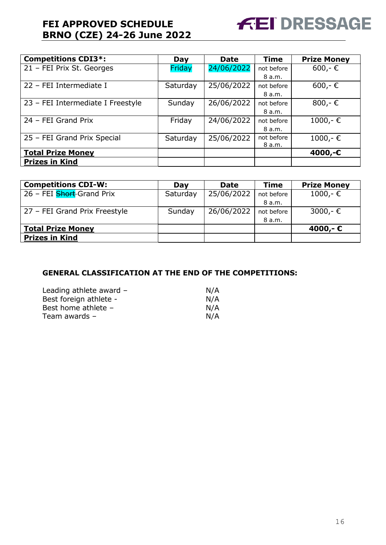

| <b>Competitions CDI3*:</b>        | Day      | <b>Date</b> | <b>Time</b> | <b>Prize Money</b> |
|-----------------------------------|----------|-------------|-------------|--------------------|
| 21 - FEI Prix St. Georges         | Friday   | 24/06/2022  | not before  | $600 - \epsilon$   |
|                                   |          |             | 8 a.m.      |                    |
| 22 - FEI Intermediate I           | Saturday | 25/06/2022  | not before  | $600 - \epsilon$   |
|                                   |          |             | 8 a.m.      |                    |
| 23 - FEI Intermediate I Freestyle | Sunday   | 26/06/2022  | not before  | 800,- $\in$        |
|                                   |          |             | 8 a.m.      |                    |
| 24 - FEI Grand Prix               | Friday   | 24/06/2022  | not before  | $1000,-$ €         |
|                                   |          |             | 8 a.m.      |                    |
| 25 - FEI Grand Prix Special       | Saturday | 25/06/2022  | not before  | $1000,-$ €         |
|                                   |          |             | 8 a.m.      |                    |
| <b>Total Prize Money</b>          |          |             |             | 4000,-€            |
| <b>Prizes in Kind</b>             |          |             |             |                    |

| <b>Competitions CDI-W:</b>    | Day      | <b>Date</b> | <b>Time</b> | <b>Prize Money</b> |
|-------------------------------|----------|-------------|-------------|--------------------|
| 26 - FEI Short-Grand Prix     | Saturday | 25/06/2022  | not before  | $1000,-$ ∈         |
|                               |          |             | 8 a.m.      |                    |
| 27 - FEI Grand Prix Freestyle | Sunday   | 26/06/2022  | not before  | $3000,-$ €         |
|                               |          |             | 8 a.m.      |                    |
| <b>Total Prize Money</b>      |          |             |             | 4000,-€            |
| <b>Prizes in Kind</b>         |          |             |             |                    |

#### **GENERAL CLASSIFICATION AT THE END OF THE COMPETITIONS:**

| Leading athlete award $-$ | N/A |
|---------------------------|-----|
| Best foreign athlete -    | N/A |
| Best home athlete -       | N/A |
| Team awards $-$           | N/A |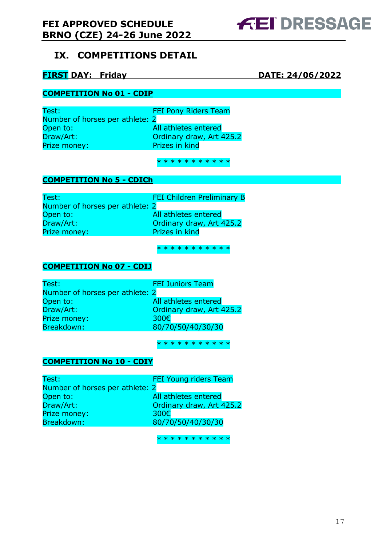## <span id="page-16-0"></span>**IX. COMPETITIONS DETAIL**

#### **FIRST DAY: Friday DATE: 24/06/2022**

**FEI DRESSAGE** 

#### **COMPETITION No 01 - CDIP**

Test: FEI Pony Riders Team Number of horses per athlete: 2 Open to: All athletes entered Draw/Art: **Draw/Art:** Ordinary draw, Art 425.2 Prize money: Prizes in kind

\* \* \* \* \* \* \* \* \* \* \*

#### **COMPETITION No 5 - CDICh**

Test: FEI Children Preliminary B Number of horses per athlete: 2 Open to: All athletes entered Draw/Art: **Ordinary draw, Art 425.2**<br>Prize money: Prizes in kind Prize money:

\* \* \* \* \* \* \* \* \* \* \*

#### **COMPETITION No 07 - CDIJ**

| Test:                           | <b>FEI Juniors Team</b>  |
|---------------------------------|--------------------------|
| Number of horses per athlete: 2 |                          |
| Open to:                        | All athletes entered     |
| Draw/Art:                       | Ordinary draw, Art 425.2 |
| Prize money:                    | 300€                     |
| Breakdown:                      | 80/70/50/40/30/30        |

\* \* \* \* \* \* \* \* \* \* \*

#### **COMPETITION No 10 - CDIY**

| Test:                           | <b>FEI Young riders Team</b> |
|---------------------------------|------------------------------|
| Number of horses per athlete: 2 |                              |
| Open to:                        | All athletes entered         |
| Draw/Art:                       | Ordinary draw, Art 425.2     |
| Prize money:                    | 300€                         |
| Breakdown:                      | 80/70/50/40/30/30            |
|                                 |                              |

\* \* \* \* \* \* \* \* \* \* \*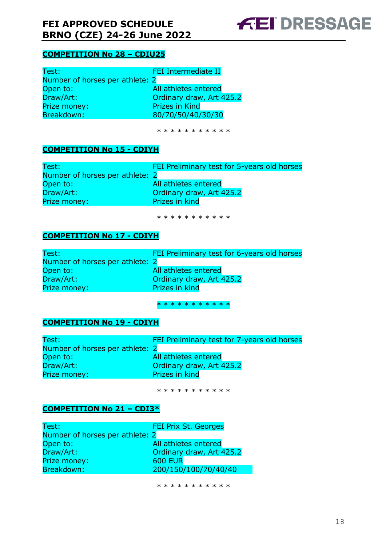

#### **COMPETITION No 28 – CDIU25**

| Test:                           | FEI Intermediate II      |
|---------------------------------|--------------------------|
| Number of horses per athlete: 2 |                          |
| Open to:                        | All athletes entered     |
| Draw/Art:                       | Ordinary draw, Art 425.2 |
| Prize money:                    | <b>Prizes in Kind</b>    |
| Breakdown:                      | 80/70/50/40/30/30        |

\* \* \* \* \* \* \* \* \* \*

#### **COMPETITION No 15 - CDIYH**

| Test:                           | FEI Preliminary test for 5-years old horses |
|---------------------------------|---------------------------------------------|
| Number of horses per athlete: 2 |                                             |
| Open to:                        | All athletes entered                        |
| Draw/Art:                       | Ordinary draw, Art 425.2                    |
| Prize money:                    | Prizes in kind                              |

\* \* \* \* \* \* \* \* \* \* \*

#### **COMPETITION No 17 - CDIYH**

| Test:                           | FEI Preliminary test for 6-years old horses |
|---------------------------------|---------------------------------------------|
| Number of horses per athlete: 2 |                                             |
| Open to:                        | All athletes entered                        |
| Draw/Art:                       | Ordinary draw, Art 425.2                    |
| Prize money:                    | Prizes in kind                              |

\* \* \* \* \* \* \* \* \* \* \*

#### **COMPETITION No 19 - CDIYH**

| Test:                           | FEI Preliminary test for 7-years old horses |
|---------------------------------|---------------------------------------------|
| Number of horses per athlete: 2 |                                             |
| Open to:                        | All athletes entered                        |
| Draw/Art:                       | Ordinary draw, Art 425.2                    |
| Prize money:                    | Prizes in kind                              |

\* \* \* \* \* \* \* \* \* \* \*

#### **COMPETITION No 21 – CDI3\***

| Test:                           | FEI Prix St. Georges     |
|---------------------------------|--------------------------|
| Number of horses per athlete: 2 |                          |
| Open to:                        | All athletes entered     |
| Draw/Art:                       | Ordinary draw, Art 425.2 |
| Prize money:                    | <b>600 EUR</b>           |
| Breakdown:                      | 200/150/100/70/40/40     |

\* \* \* \* \* \* \* \* \* \*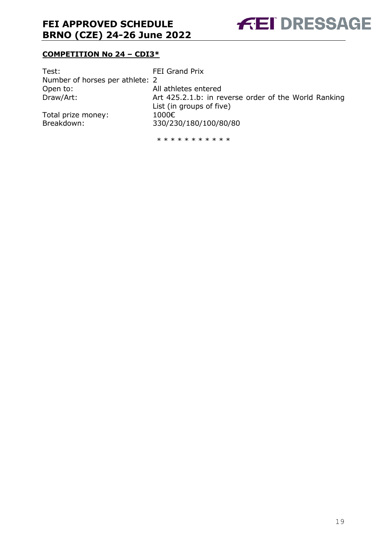

#### **COMPETITION No 24 – CDI3\***

| Test:                           | FEI Grand Prix                                       |
|---------------------------------|------------------------------------------------------|
| Number of horses per athlete: 2 |                                                      |
| Open to:                        | All athletes entered                                 |
| Draw/Art:                       | Art 425.2.1.b: in reverse order of the World Ranking |
|                                 | List (in groups of five)                             |
| Total prize money:              | 1000€                                                |
| Breakdown:                      | 330/230/180/100/80/80                                |
|                                 |                                                      |

\* \* \* \* \* \* \* \* \* \*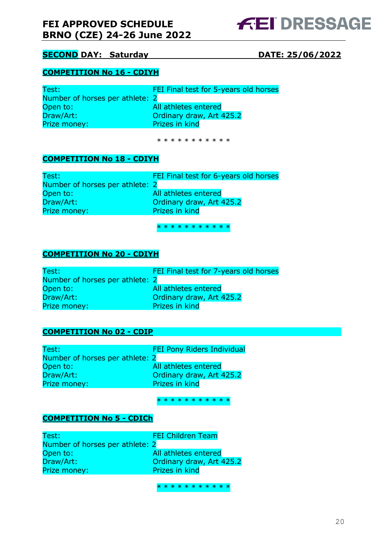#### **SECOND DAY: Saturday DATE: 25/06/2022**

#### **COMPETITION No 16 - CDIYH**

| Test:                           | FEI Final test for 5-years old horses |
|---------------------------------|---------------------------------------|
| Number of horses per athlete: 2 |                                       |
| Open to:                        | All athletes entered                  |
| Draw/Art:                       | Ordinary draw, Art 425.2              |
| Prize money:                    | Prizes in kind                        |

\* \* \* \* \* \* \* \* \* \*

#### **COMPETITION No 18 - CDIYH**

| Test:                           | FEI Final test for 6-years old horses |
|---------------------------------|---------------------------------------|
| Number of horses per athlete: 2 |                                       |
| Open to:                        | All athletes entered                  |
| Draw/Art:                       | Ordinary draw, Art 425.2              |
| Prize money:                    | Prizes in kind                        |
|                                 |                                       |

\* \* \* \* \* \* \* \* \* \* \*

#### **COMPETITION No 20 - CDIYH**

| Test:                           | FEI Final test for 7-years old horses |
|---------------------------------|---------------------------------------|
| Number of horses per athlete: 2 |                                       |
| Open to:                        | All athletes entered                  |
| Draw/Art:                       | Ordinary draw, Art 425.2              |
| Prize money:                    | Prizes in kind                        |

#### **COMPETITION No 02 - CDIP**

| Test:                           | FEI Pony Riders Individual |
|---------------------------------|----------------------------|
| Number of horses per athlete: 2 |                            |
| Open to:                        | All athletes entered       |
| Draw/Art:                       | Ordinary draw, Art 425.2   |
| Prize money:                    | Prizes in kind             |

#### \* \* \* \* \* \* \* \* \* \* \*

#### **COMPETITION No 5 - CDICh**

| Test:                           | <b>FEI Children Team</b> |
|---------------------------------|--------------------------|
| Number of horses per athlete: 2 |                          |
| Open to:                        | All athletes entered     |
| Draw/Art:                       | Ordinary draw, Art 425.2 |
| Prize money:                    | Prizes in kind           |

\* \* \* \* \* \* \* \* \* \* \*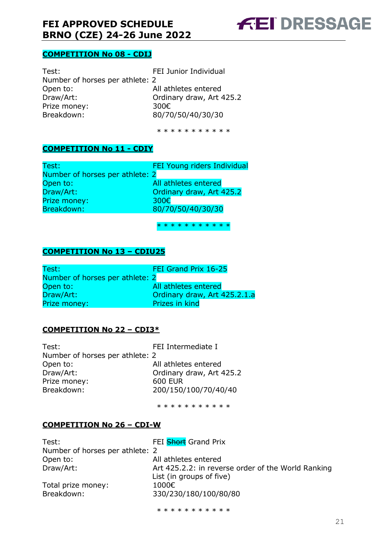

#### **COMPETITION No 08 - CDIJ**

| Test:                           | FEI Junior Individual    |
|---------------------------------|--------------------------|
| Number of horses per athlete: 2 |                          |
| Open to:                        | All athletes entered     |
| Draw/Art:                       | Ordinary draw, Art 425.2 |
| Prize money:                    | 300€                     |
| Breakdown:                      | 80/70/50/40/30/30        |

\* \* \* \* \* \* \* \* \* \*

#### **COMPETITION No 11 - CDIY**

| Test:                           | FEI Young riders Individual |
|---------------------------------|-----------------------------|
| Number of horses per athlete: 2 |                             |
| Open to:                        | All athletes entered        |
| Draw/Art:                       | Ordinary draw, Art 425.2    |
| Prize money:                    | 300€                        |
| Breakdown:                      | 80/70/50/40/30/30           |
|                                 |                             |

\* \* \* \* \* \* \* \* \* \* \*

#### **COMPETITION No 13 – CDIU25**

| Test:                           | FEI Grand Prix 16-25         |
|---------------------------------|------------------------------|
| Number of horses per athlete: 2 |                              |
| Open to:                        | All athletes entered         |
| Draw/Art:                       | Ordinary draw, Art 425.2.1.a |
| Prize money:                    | Prizes in kind               |

#### **COMPETITION No 22 – CDI3\***

| Test:                           | FEI Intermediate I       |
|---------------------------------|--------------------------|
| Number of horses per athlete: 2 |                          |
| Open to:                        | All athletes entered     |
| Draw/Art:                       | Ordinary draw, Art 425.2 |
| Prize money:                    | 600 EUR                  |
| Breakdown:                      | 200/150/100/70/40/40     |

\* \* \* \* \* \* \* \* \* \* \*

#### **COMPETITION No 26 – CDI-W**

| Test:                           | FEI Short Grand Prix                               |
|---------------------------------|----------------------------------------------------|
| Number of horses per athlete: 2 |                                                    |
| Open to:                        | All athletes entered                               |
| Draw/Art:                       | Art 425.2.2: in reverse order of the World Ranking |
|                                 | List (in groups of five)                           |
| Total prize money:              | 1000€                                              |
| Breakdown:                      | 330/230/180/100/80/80                              |
|                                 |                                                    |

\* \* \* \* \* \* \* \* \* \* \*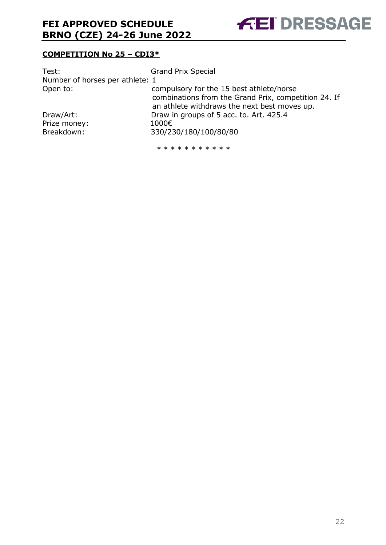

#### **COMPETITION No 25 – CDI3\***

| Test:                           | <b>Grand Prix Special</b>                            |
|---------------------------------|------------------------------------------------------|
| Number of horses per athlete: 1 |                                                      |
| Open to:                        | compulsory for the 15 best athlete/horse             |
|                                 | combinations from the Grand Prix, competition 24. If |
|                                 | an athlete withdraws the next best moves up.         |
| Draw/Art:                       | Draw in groups of 5 acc. to. Art. 425.4              |
| Prize money:                    | 1000€                                                |
| Breakdown:                      | 330/230/180/100/80/80                                |
|                                 |                                                      |

\* \* \* \* \* \* \* \* \* \*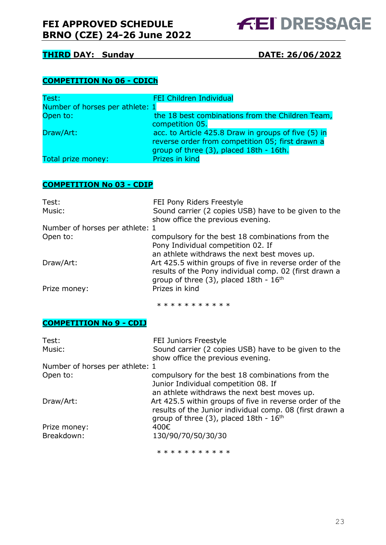#### **THIRD DAY: Sunday DATE: 26/06/2022**

#### **COMPETITION No 06 - CDICh**

| Test:                           | <b>FEI Children Individual</b>                      |
|---------------------------------|-----------------------------------------------------|
| Number of horses per athlete: 1 |                                                     |
| Open to:                        | the 18 best combinations from the Children Team,    |
|                                 | competition 05.                                     |
| Draw/Art:                       | acc. to Article 425.8 Draw in groups of five (5) in |
|                                 | reverse order from competition 05; first drawn a    |
|                                 | group of three (3), placed 18th - 16th.             |
| Total prize money:              | Prizes in kind                                      |

#### **COMPETITION No 03 - CDIP**

| Test:                           | FEI Pony Riders Freestyle                               |
|---------------------------------|---------------------------------------------------------|
| Music:                          | Sound carrier (2 copies USB) have to be given to the    |
|                                 | show office the previous evening.                       |
| Number of horses per athlete: 1 |                                                         |
| Open to:                        | compulsory for the best 18 combinations from the        |
|                                 | Pony Individual competition 02. If                      |
|                                 | an athlete withdraws the next best moves up.            |
| Draw/Art:                       | Art 425.5 within groups of five in reverse order of the |
|                                 | results of the Pony individual comp. 02 (first drawn a  |
|                                 | group of three $(3)$ , placed 18th - $16th$             |
| Prize money:                    | Prizes in kind                                          |
|                                 |                                                         |

\* \* \* \* \* \* \* \* \* \* \*

#### **COMPETITION No 9 - CDIJ**

| Test:                           | FEI Juniors Freestyle                                    |
|---------------------------------|----------------------------------------------------------|
| Music:                          | Sound carrier (2 copies USB) have to be given to the     |
|                                 | show office the previous evening.                        |
| Number of horses per athlete: 1 |                                                          |
| Open to:                        | compulsory for the best 18 combinations from the         |
|                                 | Junior Individual competition 08. If                     |
|                                 | an athlete withdraws the next best moves up.             |
| Draw/Art:                       | Art 425.5 within groups of five in reverse order of the  |
|                                 | results of the Junior individual comp. 08 (first drawn a |
|                                 | group of three $(3)$ , placed 18th - $16th$              |
| Prize money:                    | 400€                                                     |
| Breakdown:                      | 130/90/70/50/30/30                                       |
|                                 | * * * * * * * * * * *                                    |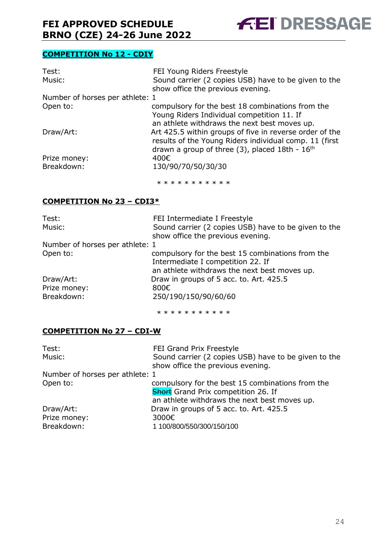

#### **COMPETITION No 12 - CDIY**

| Test:                           | FEI Young Riders Freestyle                              |
|---------------------------------|---------------------------------------------------------|
| Music:                          | Sound carrier (2 copies USB) have to be given to the    |
|                                 | show office the previous evening.                       |
| Number of horses per athlete: 1 |                                                         |
| Open to:                        | compulsory for the best 18 combinations from the        |
|                                 | Young Riders Individual competition 11. If              |
|                                 | an athlete withdraws the next best moves up.            |
| Draw/Art:                       | Art 425.5 within groups of five in reverse order of the |
|                                 | results of the Young Riders individual comp. 11 (first  |
|                                 | drawn a group of three $(3)$ , placed 18th - $16th$     |
| Prize money:                    | 400€                                                    |
| Breakdown:                      | 130/90/70/50/30/30                                      |
|                                 | * * * * * * * * * * *                                   |

#### **COMPETITION No 23 – CDI3\***

| Test:                           | FEI Intermediate I Freestyle                         |
|---------------------------------|------------------------------------------------------|
| Music:                          | Sound carrier (2 copies USB) have to be given to the |
|                                 | show office the previous evening.                    |
| Number of horses per athlete: 1 |                                                      |
| Open to:                        | compulsory for the best 15 combinations from the     |
|                                 | Intermediate I competition 22. If                    |
|                                 | an athlete withdraws the next best moves up.         |
| Draw/Art:                       | Draw in groups of 5 acc. to. Art. 425.5              |
| Prize money:                    | 800€                                                 |
| Breakdown:                      | 250/190/150/90/60/60                                 |
|                                 |                                                      |

\* \* \* \* \* \* \* \* \* \*

#### **COMPETITION No 27 – CDI-W**

| Test:                           | FEI Grand Prix Freestyle                             |
|---------------------------------|------------------------------------------------------|
| Music:                          | Sound carrier (2 copies USB) have to be given to the |
|                                 | show office the previous evening.                    |
| Number of horses per athlete: 1 |                                                      |
| Open to:                        | compulsory for the best 15 combinations from the     |
|                                 | <b>Short</b> Grand Prix competition 26. If           |
|                                 | an athlete withdraws the next best moves up.         |
| Draw/Art:                       | Draw in groups of 5 acc. to. Art. 425.5              |
| Prize money:                    | 3000€                                                |
| Breakdown:                      | 1 100/800/550/300/150/100                            |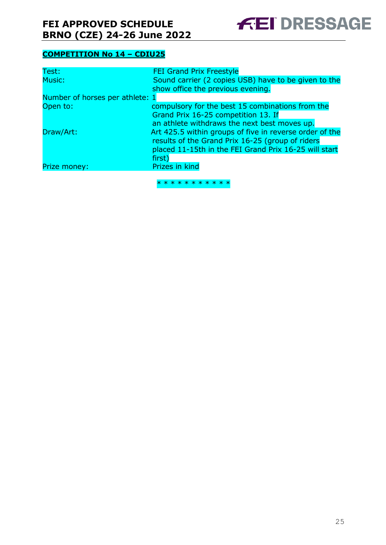

#### **COMPETITION No 14 – CDIU25**

| Test:                           | <b>FEI Grand Prix Freestyle</b>                         |
|---------------------------------|---------------------------------------------------------|
| Music:                          | Sound carrier (2 copies USB) have to be given to the    |
|                                 | show office the previous evening.                       |
| Number of horses per athlete: 1 |                                                         |
| Open to:                        | compulsory for the best 15 combinations from the        |
|                                 | Grand Prix 16-25 competition 13. If                     |
|                                 | an athlete withdraws the next best moves up.            |
| Draw/Art:                       | Art 425.5 within groups of five in reverse order of the |
|                                 | results of the Grand Prix 16-25 (group of riders        |
|                                 | placed 11-15th in the FEI Grand Prix 16-25 will start   |
|                                 | first)                                                  |
| Prize money:                    | Prizes in kind                                          |
|                                 |                                                         |
|                                 | * * * * * * * * * * *                                   |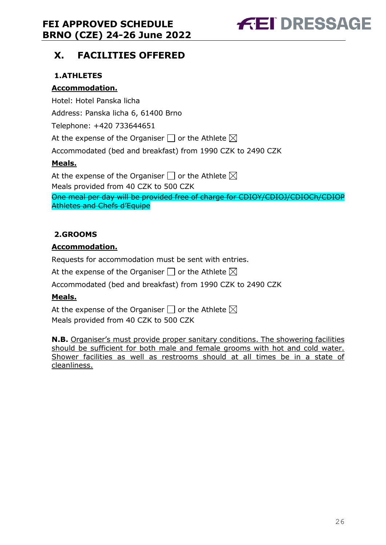## <span id="page-25-0"></span>**X. FACILITIES OFFERED**

#### <span id="page-25-1"></span>**1.ATHLETES**

#### **Accommodation.**

Hotel: Hotel Panska licha

Address: Panska licha 6, 61400 Brno

Telephone: +420 733644651

At the expense of the Organiser  $\Box$  or the Athlete  $\boxtimes$ 

Accommodated (bed and breakfast) from 1990 CZK to 2490 CZK

#### **Meals.**

At the expense of the Organiser  $\Box$  or the Athlete  $\boxtimes$ Meals provided from 40 CZK to 500 CZK

One meal per day will be provided free of charge for CDIOY/CDIOJ/CDIOCh/CDIOP Athletes and Chefs d'Equipe

#### <span id="page-25-2"></span>**2.GROOMS**

#### **Accommodation.**

Requests for accommodation must be sent with entries.

At the expense of the Organiser  $\Box$  or the Athlete  $\boxtimes$ 

Accommodated (bed and breakfast) from 1990 CZK to 2490 CZK

#### **Meals.**

At the expense of the Organiser  $\square$  or the Athlete  $\boxtimes$ Meals provided from 40 CZK to 500 CZK

**N.B.** Organiser's must provide proper sanitary conditions. The showering facilities should be sufficient for both male and female grooms with hot and cold water. Shower facilities as well as restrooms should at all times be in a state of cleanliness.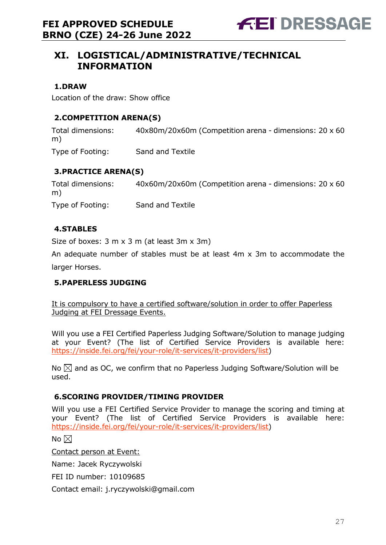## <span id="page-26-0"></span>**XI. LOGISTICAL/ADMINISTRATIVE/TECHNICAL INFORMATION**

#### <span id="page-26-1"></span>**1.DRAW**

Location of the draw: Show office

#### <span id="page-26-2"></span>**2.COMPETITION ARENA(S)**

Total dimensions: 40x80m/20x60m (Competition arena - dimensions: 20 x 60 m) Type of Footing: Sand and Textile

#### <span id="page-26-3"></span>**3.PRACTICE ARENA(S)**

Total dimensions: 40x60m/20x60m (Competition arena - dimensions: 20 x 60 m) Type of Footing: Sand and Textile

#### <span id="page-26-4"></span>**4.STABLES**

Size of boxes: 3 m x 3 m (at least 3m x 3m)

An adequate number of stables must be at least 4m x 3m to accommodate the larger Horses.

#### <span id="page-26-5"></span>**5.PAPERLESS JUDGING**

It is compulsory to have a certified software/solution in order to offer Paperless Judging at FEI Dressage Events.

Will you use a FEI Certified Paperless Judging Software/Solution to manage judging at your Event? (The list of Certified Service Providers is available here: [https://inside.fei.org/fei/your-role/it-services/it-providers/list\)](https://inside.fei.org/fei/your-role/it-services/it-providers/list)

No  $\boxtimes$  and as OC, we confirm that no Paperless Judging Software/Solution will be used.

#### <span id="page-26-6"></span>**6.SCORING PROVIDER/TIMING PROVIDER**

Will you use a FEI Certified Service Provider to manage the scoring and timing at your Event? (The list of Certified Service Providers is available here: [https://inside.fei.org/fei/your-role/it-services/it-providers/list\)](https://inside.fei.org/fei/your-role/it-services/it-providers/list)

No  $\boxtimes$ 

Contact person at Event:

Name: Jacek Ryczywolski

FEI ID number: 10109685

Contact email: j.ryczywolski@gmail.com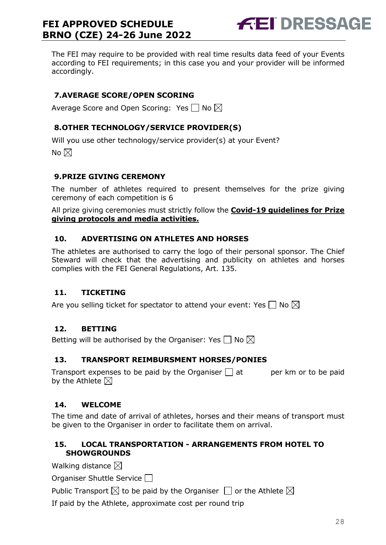

The FEI may require to be provided with real time results data feed of your Events according to FEI requirements; in this case you and your provider will be informed accordingly.

#### <span id="page-27-0"></span>**7.AVERAGE SCORE/OPEN SCORING**

Average Score and Open Scoring: Yes  $\Box$  No  $\boxtimes$ 

#### <span id="page-27-1"></span>**8.OTHER TECHNOLOGY/SERVICE PROVIDER(S)**

Will you use other technology/service provider(s) at your Event?

No  $\boxtimes$ 

#### <span id="page-27-2"></span>**9.PRIZE GIVING CEREMONY**

The number of athletes required to present themselves for the prize giving ceremony of each competition is 6

All prize giving ceremonies must strictly follow the **Covid-19 guidelines for Prize giving protocols and media activities.**

#### <span id="page-27-3"></span>**10. ADVERTISING ON ATHLETES AND HORSES**

The athletes are authorised to carry the logo of their personal sponsor. The Chief Steward will check that the advertising and publicity on athletes and horses complies with the FEI General Regulations, Art. 135.

#### <span id="page-27-4"></span>**11. TICKETING**

Are you selling ticket for spectator to attend your event: Yes  $\Box$  No  $\boxtimes$ 

#### <span id="page-27-5"></span>**12. BETTING**

Betting will be authorised by the Organiser: Yes  $\square$  No  $\boxtimes$ 

#### <span id="page-27-6"></span>**13. TRANSPORT REIMBURSMENT HORSES/PONIES**

Transport expenses to be paid by the Organiser  $\Box$  at early per km or to be paid by the Athlete  $\boxtimes$ 

#### <span id="page-27-7"></span>**14. WELCOME**

The time and date of arrival of athletes, horses and their means of transport must be given to the Organiser in order to facilitate them on arrival.

#### <span id="page-27-8"></span>**15. LOCAL TRANSPORTATION - ARRANGEMENTS FROM HOTEL TO SHOWGROUNDS**

Walking distance  $\boxtimes$ 

Organiser Shuttle Service  $\Box$ 

Public Transport  $\boxtimes$  to be paid by the Organiser  $\Box$  or the Athlete  $\boxtimes$ 

If paid by the Athlete, approximate cost per round trip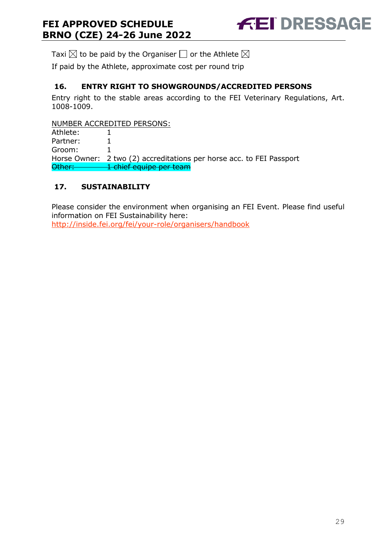

Taxi  $\boxtimes$  to be paid by the Organiser  $\Box$  or the Athlete  $\boxtimes$ 

If paid by the Athlete, approximate cost per round trip

#### <span id="page-28-0"></span>**16. ENTRY RIGHT TO SHOWGROUNDS/ACCREDITED PERSONS**

Entry right to the stable areas according to the FEI Veterinary Regulations, Art. 1008-1009.

NUMBER ACCREDITED PERSONS:

Athlete: 1 Partner: 1 Groom: 1 Horse Owner: 2 two (2) accreditations per horse acc. to FEI Passport Other: 1 chief equipe per team

#### <span id="page-28-1"></span>**17. SUSTAINABILITY**

Please consider the environment when organising an FEI Event. Please find useful information on FEI Sustainability here:

<http://inside.fei.org/fei/your-role/organisers/handbook>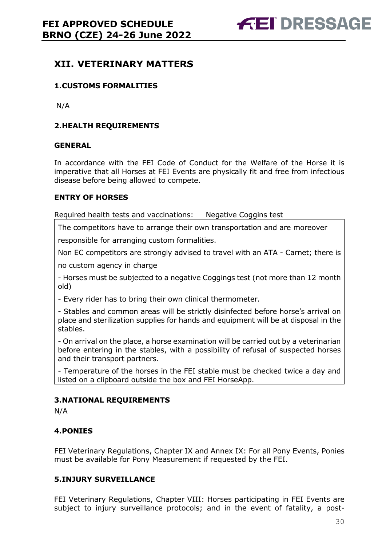## <span id="page-29-0"></span>**XII. VETERINARY MATTERS**

#### <span id="page-29-1"></span>**1.CUSTOMS FORMALITIES**

N/A

#### <span id="page-29-2"></span>**2.HEALTH REQUIREMENTS**

#### **GENERAL**

In accordance with the FEI Code of Conduct for the Welfare of the Horse it is imperative that all Horses at FEI Events are physically fit and free from infectious disease before being allowed to compete.

#### **ENTRY OF HORSES**

Required health tests and vaccinations: Negative Coggins test

The competitors have to arrange their own transportation and are moreover

responsible for arranging custom formalities.

Non EC competitors are strongly advised to travel with an ATA - Carnet; there is

no custom agency in charge

- Horses must be subjected to a negative Coggings test (not more than 12 month old)

- Every rider has to bring their own clinical thermometer.

- Stables and common areas will be strictly disinfected before horse's arrival on place and sterilization supplies for hands and equipment will be at disposal in the stables.

- On arrival on the place, a horse examination will be carried out by a veterinarian before entering in the stables, with a possibility of refusal of suspected horses and their transport partners.

- Temperature of the horses in the FEI stable must be checked twice a day and listed on a clipboard outside the box and FEI HorseApp.

#### <span id="page-29-3"></span>**3.NATIONAL REQUIREMENTS**

N/A

#### <span id="page-29-4"></span>**4.PONIES**

FEI Veterinary Regulations, Chapter IX and Annex IX: For all Pony Events, Ponies must be available for Pony Measurement if requested by the FEI.

#### <span id="page-29-5"></span>**5.INJURY SURVEILLANCE**

FEI Veterinary Regulations, Chapter VIII: Horses participating in FEI Events are subject to injury surveillance protocols; and in the event of fatality, a post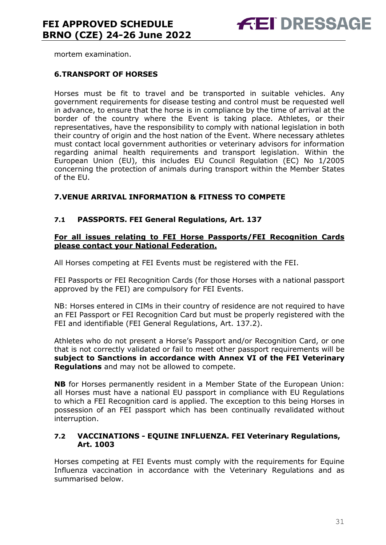mortem examination.

#### <span id="page-30-0"></span>**6.TRANSPORT OF HORSES**

Horses must be fit to travel and be transported in suitable vehicles. Any government requirements for disease testing and control must be requested well in advance, to ensure that the horse is in compliance by the time of arrival at the border of the country where the Event is taking place. Athletes, or their representatives, have the responsibility to comply with national legislation in both their country of origin and the host nation of the Event. Where necessary athletes must contact local government authorities or veterinary advisors for information regarding animal health requirements and transport legislation. Within the European Union (EU), this includes EU Council Regulation (EC) No 1/2005 concerning the protection of animals during transport within the Member States of the EU.

#### <span id="page-30-1"></span>**7.VENUE ARRIVAL INFORMATION & FITNESS TO COMPETE**

#### **7.1 PASSPORTS. FEI General Regulations, Art. 137**

#### **For all issues relating to FEI Horse Passports/FEI Recognition Cards please contact your National Federation.**

All Horses competing at FEI Events must be registered with the FEI.

FEI Passports or FEI Recognition Cards (for those Horses with a national passport approved by the FEI) are compulsory for FEI Events.

NB: Horses entered in CIMs in their country of residence are not required to have an FEI Passport or FEI Recognition Card but must be properly registered with the FEI and identifiable (FEI General Regulations, Art. 137.2).

Athletes who do not present a Horse's Passport and/or Recognition Card, or one that is not correctly validated or fail to meet other passport requirements will be **subject to Sanctions in accordance with Annex VI of the FEI Veterinary Regulations** and may not be allowed to compete.

**NB** for Horses permanently resident in a Member State of the European Union: all Horses must have a national EU passport in compliance with EU Regulations to which a FEI Recognition card is applied. The exception to this being Horses in possession of an FEI passport which has been continually revalidated without interruption.

#### **7.2 VACCINATIONS - EQUINE INFLUENZA. FEI Veterinary Regulations, Art. 1003**

Horses competing at FEI Events must comply with the requirements for Equine Influenza vaccination in accordance with the Veterinary Regulations and as summarised below.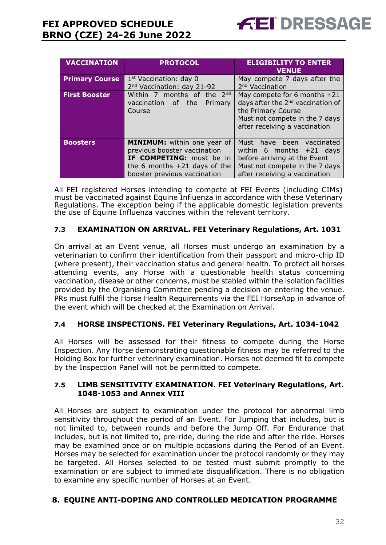| <b>VACCINATION</b>    | <b>PROTOCOL</b>                                                                                                                                                  | <b>ELIGIBILITY TO ENTER</b><br><b>VENUE</b>                                                                                                                              |
|-----------------------|------------------------------------------------------------------------------------------------------------------------------------------------------------------|--------------------------------------------------------------------------------------------------------------------------------------------------------------------------|
| <b>Primary Course</b> | $1st$ Vaccination: day 0<br>2 <sup>nd</sup> Vaccination: day 21-92                                                                                               | May compete 7 days after the<br>2 <sup>nd</sup> Vaccination                                                                                                              |
| <b>First Booster</b>  | Within 7 months of the 2nd<br>vaccination of the<br>Primary<br>Course                                                                                            | May compete for 6 months $+21$<br>days after the 2 <sup>nd</sup> vaccination of<br>the Primary Course<br>Must not compete in the 7 days<br>after receiving a vaccination |
| <b>Boosters</b>       | <b>MINIMUM:</b> within one year of<br>previous booster vaccination<br>IF COMPETING: must be in<br>the 6 months $+21$ days of the<br>booster previous vaccination | Must have been vaccinated<br>within 6 months $+21$ days<br>before arriving at the Event<br>Must not compete in the 7 days<br>after receiving a vaccination               |

All FEI registered Horses intending to compete at FEI Events (including CIMs) must be vaccinated against Equine Influenza in accordance with these Veterinary Regulations. The exception being if the applicable domestic legislation prevents the use of Equine Influenza vaccines within the relevant territory.

#### **7.3 EXAMINATION ON ARRIVAL. FEI Veterinary Regulations, Art. 1031**

On arrival at an Event venue, all Horses must undergo an examination by a veterinarian to confirm their identification from their passport and micro-chip ID (where present), their vaccination status and general health. To protect all horses attending events, any Horse with a questionable health status concerning vaccination, disease or other concerns, must be stabled within the isolation facilities provided by the Organising Committee pending a decision on entering the venue. PRs must fulfil the Horse Health Requirements via the FEI HorseApp in advance of the event which will be checked at the Examination on Arrival.

#### **7.4 HORSE INSPECTIONS. FEI Veterinary Regulations, Art. 1034-1042**

All Horses will be assessed for their fitness to compete during the Horse Inspection. Any Horse demonstrating questionable fitness may be referred to the Holding Box for further veterinary examination. Horses not deemed fit to compete by the Inspection Panel will not be permitted to compete.

#### **7.5 LIMB SENSITIVITY EXAMINATION. FEI Veterinary Regulations, Art. 1048-1053 and Annex VIII**

All Horses are subject to examination under the protocol for abnormal limb sensitivity throughout the period of an Event. For Jumping that includes, but is not limited to, between rounds and before the Jump Off. For Endurance that includes, but is not limited to, pre-ride, during the ride and after the ride. Horses may be examined once or on multiple occasions during the Period of an Event. Horses may be selected for examination under the protocol randomly or they may be targeted. All Horses selected to be tested must submit promptly to the examination or are subject to immediate disqualification. There is no obligation to examine any specific number of Horses at an Event.

#### <span id="page-31-0"></span>**8. EQUINE ANTI-DOPING AND CONTROLLED MEDICATION PROGRAMME**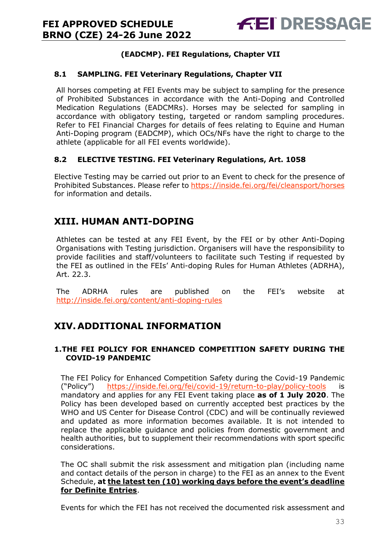#### **(EADCMP). FEI Regulations, Chapter VII**

#### **8.1 SAMPLING. FEI Veterinary Regulations, Chapter VII**

All horses competing at FEI Events may be subject to sampling for the presence of Prohibited Substances in accordance with the Anti-Doping and Controlled Medication Regulations (EADCMRs). Horses may be selected for sampling in accordance with obligatory testing, targeted or random sampling procedures. Refer to FEI Financial Charges for details of fees relating to Equine and Human Anti-Doping program (EADCMP), which OCs/NFs have the right to charge to the athlete (applicable for all FEI events worldwide).

#### **8.2 ELECTIVE TESTING. FEI Veterinary Regulations, Art. 1058**

Elective Testing may be carried out prior to an Event to check for the presence of Prohibited Substances. Please refer to https://inside.fei.org/fei/cleansport/horses for information and details.

## <span id="page-32-0"></span>**XIII. HUMAN ANTI-DOPING**

Athletes can be tested at any FEI Event, by the FEI or by other Anti-Doping Organisations with Testing jurisdiction. Organisers will have the responsibility to provide facilities and staff/volunteers to facilitate such Testing if requested by the FEI as outlined in the FEIs' Anti-doping Rules for Human Athletes (ADRHA), Art. 22.3.

The ADRHA rules are published on the FEI's website at <http://inside.fei.org/content/anti-doping-rules>

## <span id="page-32-1"></span>**XIV. ADDITIONAL INFORMATION**

#### <span id="page-32-2"></span>**1.THE FEI POLICY FOR ENHANCED COMPETITION SAFETY DURING THE COVID-19 PANDEMIC**

The FEI Policy for Enhanced Competition Safety during the Covid-19 Pandemic ("Policy") <https://inside.fei.org/fei/covid-19/return-to-play/policy-tools> is mandatory and applies for any FEI Event taking place **as of 1 July 2020**. The Policy has been developed based on currently accepted best practices by the WHO and US Center for Disease Control (CDC) and will be continually reviewed and updated as more information becomes available. It is not intended to replace the applicable guidance and policies from domestic government and health authorities, but to supplement their recommendations with sport specific considerations.

The OC shall submit the risk assessment and mitigation plan (including name and contact details of the person in charge) to the FEI as an annex to the Event Schedule, **at the latest ten (10) working days before the event's deadline for Definite Entries**.

Events for which the FEI has not received the documented risk assessment and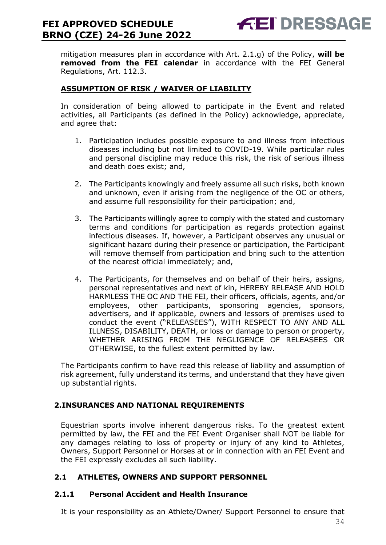mitigation measures plan in accordance with Art. 2.1.g) of the Policy, **will be removed from the FEI calendar** in accordance with the FEI General Regulations, Art. 112.3.

#### **ASSUMPTION OF RISK / WAIVER OF LIABILITY**

In consideration of being allowed to participate in the Event and related activities, all Participants (as defined in the Policy) acknowledge, appreciate, and agree that:

- 1. Participation includes possible exposure to and illness from infectious diseases including but not limited to COVID-19. While particular rules and personal discipline may reduce this risk, the risk of serious illness and death does exist; and,
- 2. The Participants knowingly and freely assume all such risks, both known and unknown, even if arising from the negligence of the OC or others, and assume full responsibility for their participation; and,
- 3. The Participants willingly agree to comply with the stated and customary terms and conditions for participation as regards protection against infectious diseases. If, however, a Participant observes any unusual or significant hazard during their presence or participation, the Participant will remove themself from participation and bring such to the attention of the nearest official immediately; and,
- 4. The Participants, for themselves and on behalf of their heirs, assigns, personal representatives and next of kin, HEREBY RELEASE AND HOLD HARMLESS THE OC AND THE FEI, their officers, officials, agents, and/or employees, other participants, sponsoring agencies, sponsors, advertisers, and if applicable, owners and lessors of premises used to conduct the event ("RELEASEES"), WITH RESPECT TO ANY AND ALL ILLNESS, DISABILITY, DEATH, or loss or damage to person or property, WHETHER ARISING FROM THE NEGLIGENCE OF RELEASEES OR OTHERWISE, to the fullest extent permitted by law.

The Participants confirm to have read this release of liability and assumption of risk agreement, fully understand its terms, and understand that they have given up substantial rights.

#### <span id="page-33-0"></span>**2.INSURANCES AND NATIONAL REQUIREMENTS**

Equestrian sports involve inherent dangerous risks. To the greatest extent permitted by law, the FEI and the FEI Event Organiser shall NOT be liable for any damages relating to loss of property or injury of any kind to Athletes, Owners, Support Personnel or Horses at or in connection with an FEI Event and the FEI expressly excludes all such liability.

#### **2.1 ATHLETES, OWNERS AND SUPPORT PERSONNEL**

#### **2.1.1 Personal Accident and Health Insurance**

It is your responsibility as an Athlete/Owner/ Support Personnel to ensure that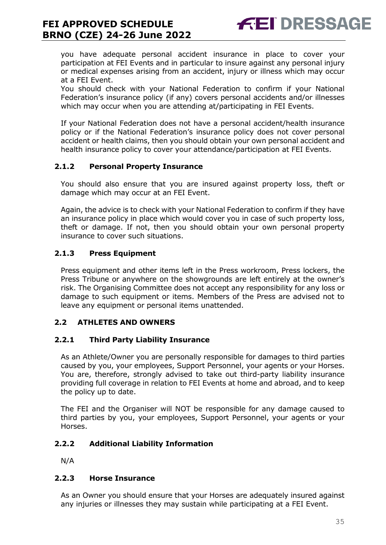you have adequate personal accident insurance in place to cover your participation at FEI Events and in particular to insure against any personal injury or medical expenses arising from an accident, injury or illness which may occur at a FEI Event.

You should check with your National Federation to confirm if your National Federation's insurance policy (if any) covers personal accidents and/or illnesses which may occur when you are attending at/participating in FEI Events.

If your National Federation does not have a personal accident/health insurance policy or if the National Federation's insurance policy does not cover personal accident or health claims, then you should obtain your own personal accident and health insurance policy to cover your attendance/participation at FEI Events.

#### **2.1.2 Personal Property Insurance**

You should also ensure that you are insured against property loss, theft or damage which may occur at an FEI Event.

Again, the advice is to check with your National Federation to confirm if they have an insurance policy in place which would cover you in case of such property loss, theft or damage. If not, then you should obtain your own personal property insurance to cover such situations.

#### **2.1.3 Press Equipment**

Press equipment and other items left in the Press workroom, Press lockers, the Press Tribune or anywhere on the showgrounds are left entirely at the owner's risk. The Organising Committee does not accept any responsibility for any loss or damage to such equipment or items. Members of the Press are advised not to leave any equipment or personal items unattended.

#### **2.2 ATHLETES AND OWNERS**

#### **2.2.1 Third Party Liability Insurance**

As an Athlete/Owner you are personally responsible for damages to third parties caused by you, your employees, Support Personnel, your agents or your Horses. You are, therefore, strongly advised to take out third-party liability insurance providing full coverage in relation to FEI Events at home and abroad, and to keep the policy up to date.

The FEI and the Organiser will NOT be responsible for any damage caused to third parties by you, your employees, Support Personnel, your agents or your Horses.

#### **2.2.2 Additional Liability Information**

N/A

#### **2.2.3 Horse Insurance**

As an Owner you should ensure that your Horses are adequately insured against any injuries or illnesses they may sustain while participating at a FEI Event.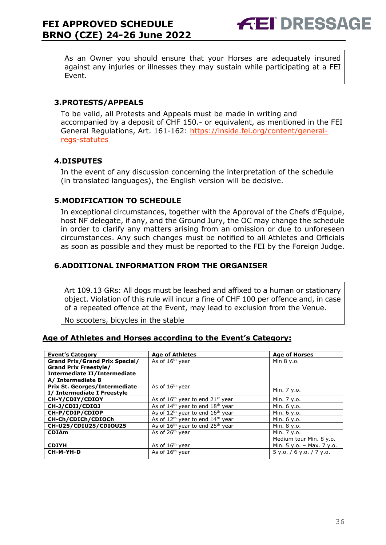As an Owner you should ensure that your Horses are adequately insured against any injuries or illnesses they may sustain while participating at a FEI Event.

#### <span id="page-35-0"></span>**3.PROTESTS/APPEALS**

To be valid, all Protests and Appeals must be made in writing and accompanied by a deposit of CHF 150.- or equivalent, as mentioned in the FEI General Regulations, Art. 161-162: [https://inside.fei.org/content/general](https://inside.fei.org/content/general-regs-statutes)[regs-statutes](https://inside.fei.org/content/general-regs-statutes)

#### <span id="page-35-1"></span>**4.DISPUTES**

In the event of any discussion concerning the interpretation of the schedule (in translated languages), the English version will be decisive.

#### <span id="page-35-2"></span>**5.MODIFICATION TO SCHEDULE**

In exceptional circumstances, together with the Approval of the Chefs d'Equipe, host NF delegate, if any, and the Ground Jury, the OC may change the schedule in order to clarify any matters arising from an omission or due to unforeseen circumstances. Any such changes must be notified to all Athletes and Officials as soon as possible and they must be reported to the FEI by the Foreign Judge.

#### <span id="page-35-3"></span>**6.ADDITIONAL INFORMATION FROM THE ORGANISER**

Art 109.13 GRs: All dogs must be leashed and affixed to a human or stationary object. Violation of this rule will incur a fine of CHF 100 per offence and, in case of a repeated offence at the Event, may lead to exclusion from the Venue.

No scooters, bicycles in the stable

#### **Age of Athletes and Horses according to the Event's Category:**

| <b>Event's Category</b>               | <b>Age of Athletes</b>                     | <b>Age of Horses</b>       |
|---------------------------------------|--------------------------------------------|----------------------------|
| <b>Grand Prix/Grand Prix Special/</b> | As of 16 <sup>th</sup> vear                | Min 8 y.o.                 |
| <b>Grand Prix Freestyle/</b>          |                                            |                            |
| Intermediate II/Intermediate          |                                            |                            |
| A/ Intermediate B                     |                                            |                            |
| <b>Prix St. Georges/Intermediate</b>  | As of 16 <sup>th</sup> year                | Min. 7 y.o.                |
| I/ Intermediate I Freestyle           |                                            |                            |
| CH-Y/CDIY/CDIOY                       | As of $16th$ year to end $21st$ year       | Min. 7 y.o.                |
| CH-J/CDIJ/CDIOJ                       | As of $14th$ year to end $18th$ year       | Min. 6 y.o.                |
| CH-P/CDIP/CDIOP                       | As of $12th$ year to end $16th$ year       | Min. 6 y.o.                |
| CH-Ch/CDICh/CDIOCh                    | As of $12^{th}$ year to end $14^{th}$ year | Min. 6 y.o.                |
| CH-U25/CDIU25/CDIOU25                 | As of $16th$ year to end $25th$ year       | Min. 8 y.o.                |
| <b>CDIAm</b>                          | As of 26 <sup>th</sup> year                | Min. 7 y.o.                |
|                                       |                                            | Medium tour Min. 8 y.o.    |
| <b>CDIYH</b>                          | As of $16th$ year                          | Min. 5 y.o. - Max. 7 y.o.  |
| CH-M-YH-D                             | As of $16th$ year                          | $5$ y.o. / 6 y.o. / 7 y.o. |
|                                       |                                            |                            |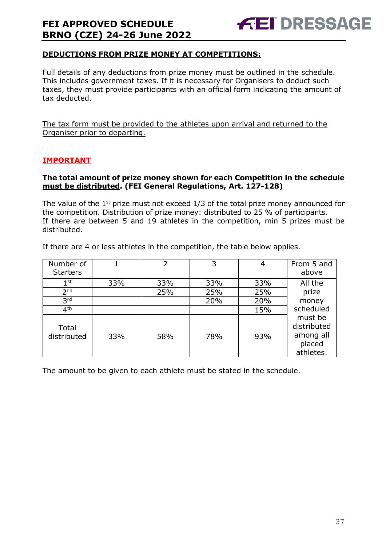#### **DEDUCTIONS FROM PRIZE MONEY AT COMPETITIONS:**

Full details of any deductions from prize money must be outlined in the schedule. This includes government taxes. If it is necessary for Organisers to deduct such taxes, they must provide participants with an official form indicating the amount of tax deducted.

The tax form must be provided to the athletes upon arrival and returned to the Organiser prior to departing.

#### **IMPORTANT**

#### **The total amount of prize money shown for each Competition in the schedule must be distributed. (FEI General Regulations, Art. 127-128)**

The value of the  $1<sup>st</sup>$  prize must not exceed  $1/3$  of the total prize money announced for the competition. Distribution of prize money: distributed to 25 % of participants. If there are between 5 and 19 athletes in the competition, min 5 prizes must be distributed.

If there are 4 or less athletes in the competition, the table below applies.

| Number of<br><b>Starters</b> |     | 2   | 3   | 4   | From 5 and<br>above                                        |
|------------------------------|-----|-----|-----|-----|------------------------------------------------------------|
| $1^{\rm st}$                 | 33% | 33% | 33% | 33% | All the                                                    |
| 2 <sub>nd</sub>              |     | 25% | 25% | 25% | prize                                                      |
| 3 <sup>rd</sup>              |     |     | 20% | 20% | money                                                      |
| 4 <sup>th</sup>              |     |     |     | 15% | scheduled                                                  |
| Total<br>distributed         | 33% | 58% | 78% | 93% | must be<br>distributed<br>among all<br>placed<br>athletes. |

The amount to be given to each athlete must be stated in the schedule.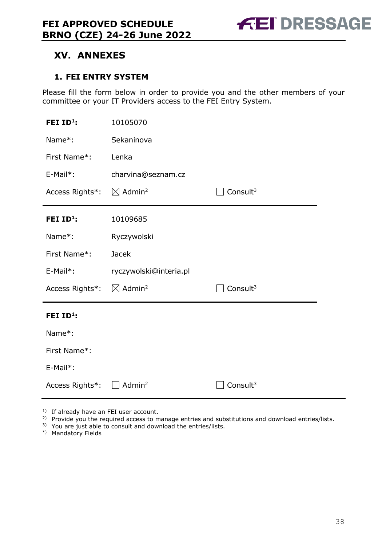## <span id="page-37-0"></span>**XV. ANNEXES**

#### <span id="page-37-1"></span>**1. FEI ENTRY SYSTEM**

Please fill the form below in order to provide you and the other members of your committee or your IT Providers access to the FEI Entry System.

| FEI ID <sup>1</sup> : | 10105070                       |                      |
|-----------------------|--------------------------------|----------------------|
| Name*:                | Sekaninova                     |                      |
| First Name*:          | Lenka                          |                      |
| E-Mail*:              | charvina@seznam.cz             |                      |
| Access Rights*:       | $\boxtimes$ Admin <sup>2</sup> | Consult <sup>3</sup> |
| FEI $ID^1$ :          | 10109685                       |                      |
| Name*:                | Ryczywolski                    |                      |
| First Name*:          | <b>Jacek</b>                   |                      |
| E-Mail*:              | ryczywolski@interia.pl         |                      |
| Access Rights*:       | $\boxtimes$ Admin <sup>2</sup> | Consult <sup>3</sup> |
|                       |                                |                      |
| FEI ID <sup>1</sup> : |                                |                      |
| Name*:                |                                |                      |
| First Name*:          |                                |                      |
| E-Mail*:              |                                |                      |

<sup>1)</sup> If already have an FEI user account.

<sup>2)</sup> Provide you the required access to manage entries and substitutions and download entries/lists.

3) You are just able to consult and download the entries/lists.

\*) Mandatory Fields